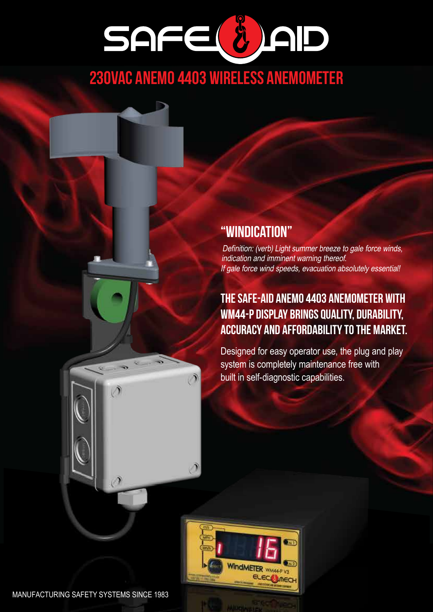# SAFE( 8) AD

# 230vac ANEMO 4403 WIRELESS ANEMOMETER

∩

### "Windication"

Definition: (verb) Light summer breeze to gale force winds, indication and imminent warning thereof. If gale force wind speeds, evacuation absolutely essential!

### The Safe-Aid Anemo 4403 Anemometer with WM44-P Display brings quality, durability, accuracy and affordability to the market.

Designed for easy operator use, the plug and play system is completely maintenance free with built in self-diagnostic capabilities.



 $\mathcal{O}$